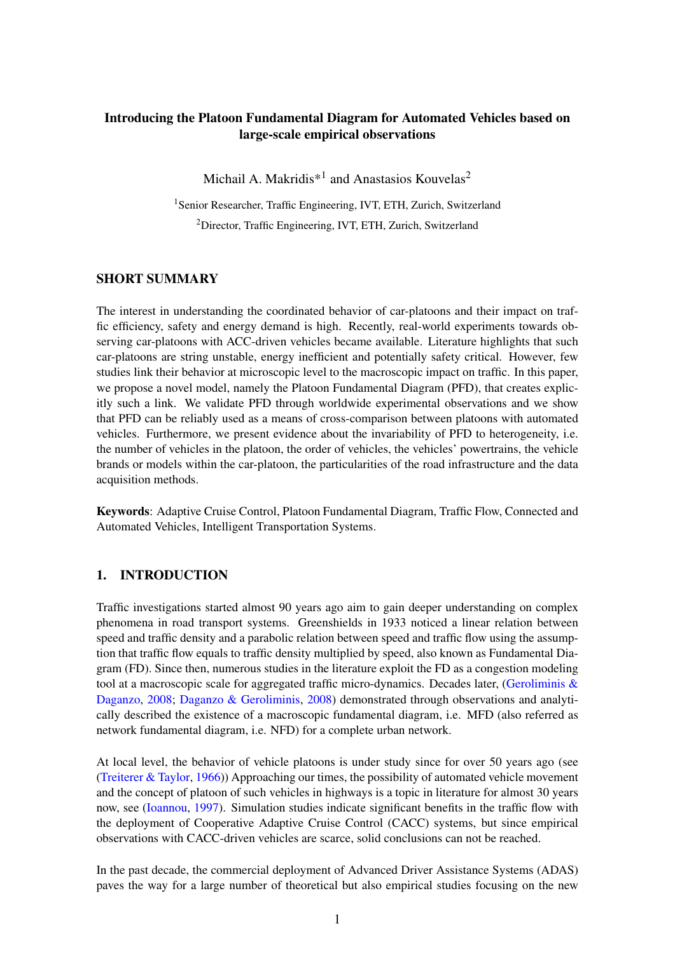# Introducing the Platoon Fundamental Diagram for Automated Vehicles based on large-scale empirical observations

Michail A. Makridis<sup>\*1</sup> and Anastasios Kouvelas<sup>2</sup>

<sup>1</sup>Senior Researcher, Traffic Engineering, IVT, ETH, Zurich, Switzerland <sup>2</sup>Director, Traffic Engineering, IVT, ETH, Zurich, Switzerland

# SHORT SUMMARY

The interest in understanding the coordinated behavior of car-platoons and their impact on traffic efficiency, safety and energy demand is high. Recently, real-world experiments towards observing car-platoons with ACC-driven vehicles became available. Literature highlights that such car-platoons are string unstable, energy inefficient and potentially safety critical. However, few studies link their behavior at microscopic level to the macroscopic impact on traffic. In this paper, we propose a novel model, namely the Platoon Fundamental Diagram (PFD), that creates explicitly such a link. We validate PFD through worldwide experimental observations and we show that PFD can be reliably used as a means of cross-comparison between platoons with automated vehicles. Furthermore, we present evidence about the invariability of PFD to heterogeneity, i.e. the number of vehicles in the platoon, the order of vehicles, the vehicles' powertrains, the vehicle brands or models within the car-platoon, the particularities of the road infrastructure and the data acquisition methods.

Keywords: Adaptive Cruise Control, Platoon Fundamental Diagram, Traffic Flow, Connected and Automated Vehicles, Intelligent Transportation Systems.

### 1. INTRODUCTION

Traffic investigations started almost 90 years ago aim to gain deeper understanding on complex phenomena in road transport systems. Greenshields in 1933 noticed a linear relation between speed and traffic density and a parabolic relation between speed and traffic flow using the assumption that traffic flow equals to traffic density multiplied by speed, also known as Fundamental Diagram (FD). Since then, numerous studies in the literature exploit the FD as a congestion modeling tool at a macroscopic scale for aggregated traffic micro-dynamics. Decades later, [\(Geroliminis &](#page-4-0) [Daganzo,](#page-4-0) [2008;](#page-4-0) [Daganzo & Geroliminis,](#page-4-1) [2008\)](#page-4-1) demonstrated through observations and analytically described the existence of a macroscopic fundamental diagram, i.e. MFD (also referred as network fundamental diagram, i.e. NFD) for a complete urban network.

At local level, the behavior of vehicle platoons is under study since for over 50 years ago (see [\(Treiterer & Taylor,](#page-5-0) [1966\)](#page-5-0)) Approaching our times, the possibility of automated vehicle movement and the concept of platoon of such vehicles in highways is a topic in literature for almost 30 years now, see [\(Ioannou,](#page-4-2) [1997\)](#page-4-2). Simulation studies indicate significant benefits in the traffic flow with the deployment of Cooperative Adaptive Cruise Control (CACC) systems, but since empirical observations with CACC-driven vehicles are scarce, solid conclusions can not be reached.

In the past decade, the commercial deployment of Advanced Driver Assistance Systems (ADAS) paves the way for a large number of theoretical but also empirical studies focusing on the new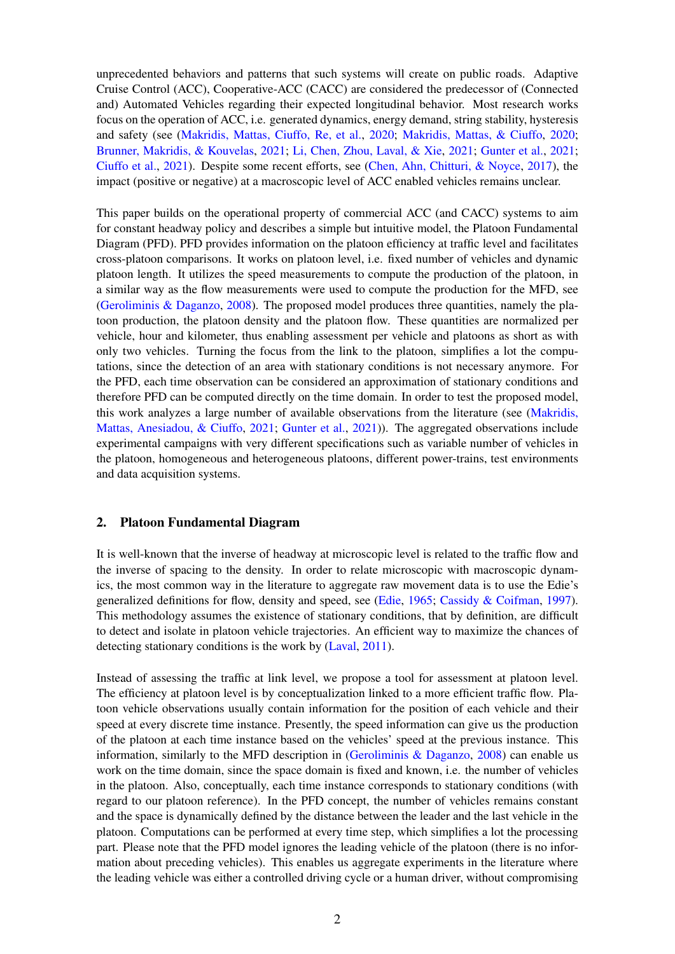unprecedented behaviors and patterns that such systems will create on public roads. Adaptive Cruise Control (ACC), Cooperative-ACC (CACC) are considered the predecessor of (Connected and) Automated Vehicles regarding their expected longitudinal behavior. Most research works focus on the operation of ACC, i.e. generated dynamics, energy demand, string stability, hysteresis and safety (see [\(Makridis, Mattas, Ciuffo, Re, et al.,](#page-4-3) [2020;](#page-4-3) [Makridis, Mattas, & Ciuffo,](#page-4-4) [2020;](#page-4-4) [Brunner, Makridis, & Kouvelas,](#page-3-0) [2021;](#page-3-0) [Li, Chen, Zhou, Laval, & Xie,](#page-4-5) [2021;](#page-4-5) [Gunter et al.,](#page-4-6) [2021;](#page-4-6) [Ciuffo et al.,](#page-4-7) [2021\)](#page-4-7). Despite some recent efforts, see [\(Chen, Ahn, Chitturi, & Noyce,](#page-3-1) [2017\)](#page-3-1), the impact (positive or negative) at a macroscopic level of ACC enabled vehicles remains unclear.

This paper builds on the operational property of commercial ACC (and CACC) systems to aim for constant headway policy and describes a simple but intuitive model, the Platoon Fundamental Diagram (PFD). PFD provides information on the platoon efficiency at traffic level and facilitates cross-platoon comparisons. It works on platoon level, i.e. fixed number of vehicles and dynamic platoon length. It utilizes the speed measurements to compute the production of the platoon, in a similar way as the flow measurements were used to compute the production for the MFD, see [\(Geroliminis & Daganzo,](#page-4-0) [2008\)](#page-4-0). The proposed model produces three quantities, namely the platoon production, the platoon density and the platoon flow. These quantities are normalized per vehicle, hour and kilometer, thus enabling assessment per vehicle and platoons as short as with only two vehicles. Turning the focus from the link to the platoon, simplifies a lot the computations, since the detection of an area with stationary conditions is not necessary anymore. For the PFD, each time observation can be considered an approximation of stationary conditions and therefore PFD can be computed directly on the time domain. In order to test the proposed model, this work analyzes a large number of available observations from the literature (see [\(Makridis,](#page-4-8) [Mattas, Anesiadou, & Ciuffo,](#page-4-8) [2021;](#page-4-8) [Gunter et al.,](#page-4-6) [2021\)](#page-4-6)). The aggregated observations include experimental campaigns with very different specifications such as variable number of vehicles in the platoon, homogeneous and heterogeneous platoons, different power-trains, test environments and data acquisition systems.

#### 2. Platoon Fundamental Diagram

It is well-known that the inverse of headway at microscopic level is related to the traffic flow and the inverse of spacing to the density. In order to relate microscopic with macroscopic dynamics, the most common way in the literature to aggregate raw movement data is to use the Edie's generalized definitions for flow, density and speed, see [\(Edie,](#page-4-9) [1965;](#page-4-9) [Cassidy & Coifman,](#page-3-2) [1997\)](#page-3-2). This methodology assumes the existence of stationary conditions, that by definition, are difficult to detect and isolate in platoon vehicle trajectories. An efficient way to maximize the chances of detecting stationary conditions is the work by [\(Laval,](#page-4-10) [2011\)](#page-4-10).

Instead of assessing the traffic at link level, we propose a tool for assessment at platoon level. The efficiency at platoon level is by conceptualization linked to a more efficient traffic flow. Platoon vehicle observations usually contain information for the position of each vehicle and their speed at every discrete time instance. Presently, the speed information can give us the production of the platoon at each time instance based on the vehicles' speed at the previous instance. This information, similarly to the MFD description in [\(Geroliminis & Daganzo,](#page-4-0) [2008\)](#page-4-0) can enable us work on the time domain, since the space domain is fixed and known, i.e. the number of vehicles in the platoon. Also, conceptually, each time instance corresponds to stationary conditions (with regard to our platoon reference). In the PFD concept, the number of vehicles remains constant and the space is dynamically defined by the distance between the leader and the last vehicle in the platoon. Computations can be performed at every time step, which simplifies a lot the processing part. Please note that the PFD model ignores the leading vehicle of the platoon (there is no information about preceding vehicles). This enables us aggregate experiments in the literature where the leading vehicle was either a controlled driving cycle or a human driver, without compromising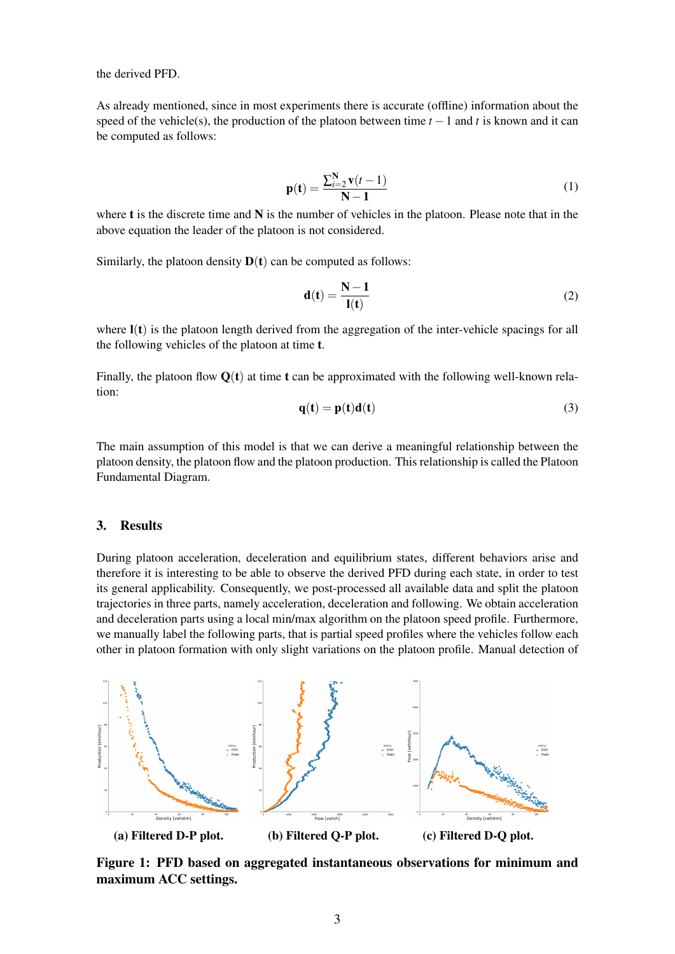the derived PFD.

As already mentioned, since in most experiments there is accurate (offline) information about the speed of the vehicle(s), the production of the platoon between time  $t - 1$  and  $t$  is known and it can be computed as follows:

<span id="page-2-0"></span>
$$
\mathbf{p}(\mathbf{t}) = \frac{\sum_{i=2}^{N} \mathbf{v}(t-1)}{N-1}
$$
 (1)

where **t** is the discrete time and N is the number of vehicles in the platoon. Please note that in the above equation the leader of the platoon is not considered.

Similarly, the platoon density  $D(t)$  can be computed as follows:

$$
\mathbf{d}(\mathbf{t}) = \frac{\mathbf{N} - \mathbf{1}}{\mathbf{l}(\mathbf{t})} \tag{2}
$$

where  $\mathbf{l}(t)$  is the platoon length derived from the aggregation of the inter-vehicle spacings for all the following vehicles of the platoon at time t.

Finally, the platoon flow  $Q(t)$  at time t can be approximated with the following well-known relation:

<span id="page-2-1"></span>
$$
\mathbf{q}(\mathbf{t}) = \mathbf{p}(\mathbf{t})\mathbf{d}(\mathbf{t})
$$
 (3)

The main assumption of this model is that we can derive a meaningful relationship between the platoon density, the platoon flow and the platoon production. This relationship is called the Platoon Fundamental Diagram.

#### 3. Results

During platoon acceleration, deceleration and equilibrium states, different behaviors arise and therefore it is interesting to be able to observe the derived PFD during each state, in order to test its general applicability. Consequently, we post-processed all available data and split the platoon trajectories in three parts, namely acceleration, deceleration and following. We obtain acceleration and deceleration parts using a local min/max algorithm on the platoon speed profile. Furthermore, we manually label the following parts, that is partial speed profiles where the vehicles follow each other in platoon formation with only slight variations on the platoon profile. Manual detection of

<span id="page-2-2"></span>

Figure 1: PFD based on aggregated instantaneous observations for minimum and maximum ACC settings.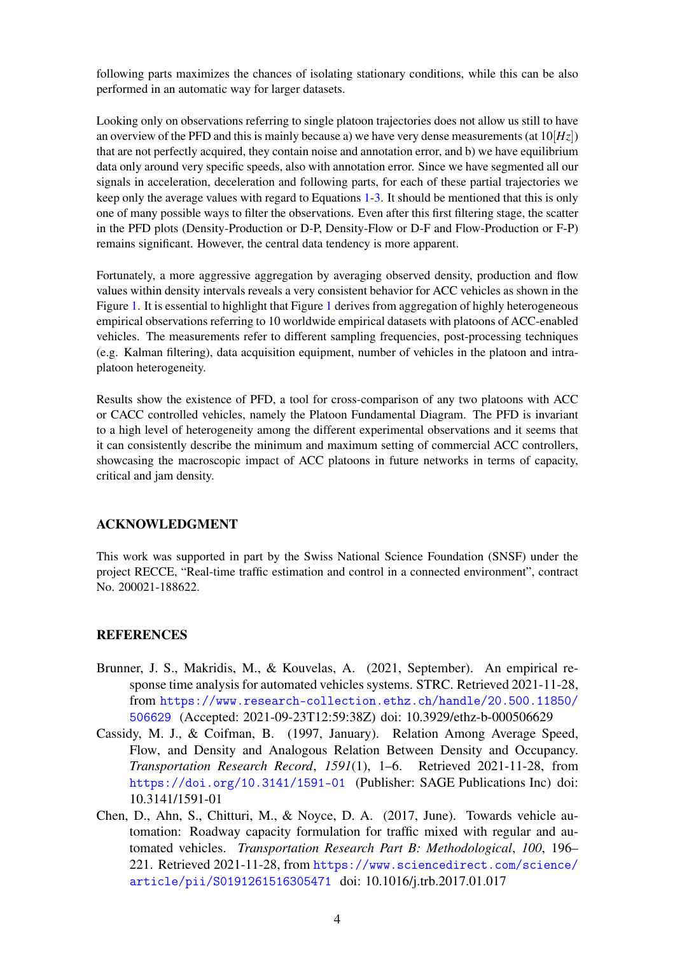following parts maximizes the chances of isolating stationary conditions, while this can be also performed in an automatic way for larger datasets.

Looking only on observations referring to single platoon trajectories does not allow us still to have an overview of the PFD and this is mainly because a) we have very dense measurements (at  $10[H<sub>Z</sub>]$ ) that are not perfectly acquired, they contain noise and annotation error, and b) we have equilibrium data only around very specific speeds, also with annotation error. Since we have segmented all our signals in acceleration, deceleration and following parts, for each of these partial trajectories we keep only the average values with regard to Equations [1-](#page-2-0)[3.](#page-2-1) It should be mentioned that this is only one of many possible ways to filter the observations. Even after this first filtering stage, the scatter in the PFD plots (Density-Production or D-P, Density-Flow or D-F and Flow-Production or F-P) remains significant. However, the central data tendency is more apparent.

Fortunately, a more aggressive aggregation by averaging observed density, production and flow values within density intervals reveals a very consistent behavior for ACC vehicles as shown in the Figure [1.](#page-2-2) It is essential to highlight that Figure [1](#page-2-2) derives from aggregation of highly heterogeneous empirical observations referring to 10 worldwide empirical datasets with platoons of ACC-enabled vehicles. The measurements refer to different sampling frequencies, post-processing techniques (e.g. Kalman filtering), data acquisition equipment, number of vehicles in the platoon and intraplatoon heterogeneity.

Results show the existence of PFD, a tool for cross-comparison of any two platoons with ACC or CACC controlled vehicles, namely the Platoon Fundamental Diagram. The PFD is invariant to a high level of heterogeneity among the different experimental observations and it seems that it can consistently describe the minimum and maximum setting of commercial ACC controllers, showcasing the macroscopic impact of ACC platoons in future networks in terms of capacity, critical and jam density.

#### ACKNOWLEDGMENT

This work was supported in part by the Swiss National Science Foundation (SNSF) under the project RECCE, "Real-time traffic estimation and control in a connected environment", contract No. 200021-188622.

# REFERENCES

- <span id="page-3-0"></span>Brunner, J. S., Makridis, M., & Kouvelas, A. (2021, September). An empirical response time analysis for automated vehicles systems. STRC. Retrieved 2021-11-28, from [https://www.research-collection.ethz.ch/handle/20.500.11850/](https://www.research-collection.ethz.ch/handle/20.500.11850/506629) [506629](https://www.research-collection.ethz.ch/handle/20.500.11850/506629) (Accepted: 2021-09-23T12:59:38Z) doi: 10.3929/ethz-b-000506629
- <span id="page-3-2"></span>Cassidy, M. J., & Coifman, B. (1997, January). Relation Among Average Speed, Flow, and Density and Analogous Relation Between Density and Occupancy. *Transportation Research Record*, *1591*(1), 1–6. Retrieved 2021-11-28, from <https://doi.org/10.3141/1591-01> (Publisher: SAGE Publications Inc) doi: 10.3141/1591-01
- <span id="page-3-1"></span>Chen, D., Ahn, S., Chitturi, M., & Noyce, D. A. (2017, June). Towards vehicle automation: Roadway capacity formulation for traffic mixed with regular and automated vehicles. *Transportation Research Part B: Methodological*, *100*, 196– 221. Retrieved 2021-11-28, from [https://www.sciencedirect.com/science/](https://www.sciencedirect.com/science/article/pii/S0191261516305471) [article/pii/S0191261516305471](https://www.sciencedirect.com/science/article/pii/S0191261516305471) doi: 10.1016/j.trb.2017.01.017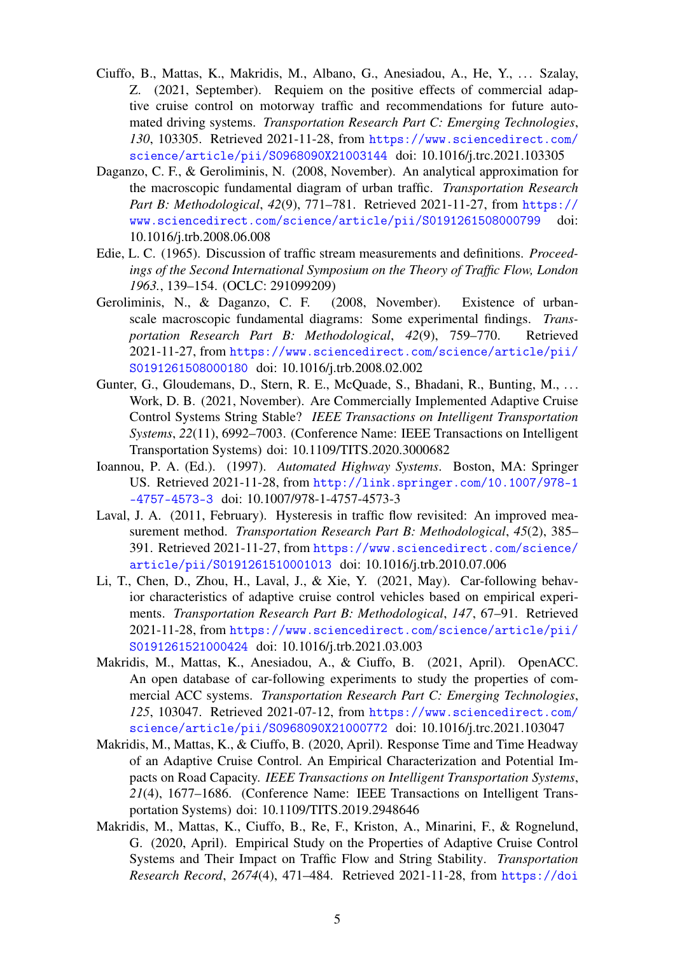- <span id="page-4-7"></span>Ciuffo, B., Mattas, K., Makridis, M., Albano, G., Anesiadou, A., He, Y., ... Szalay, Z. (2021, September). Requiem on the positive effects of commercial adaptive cruise control on motorway traffic and recommendations for future automated driving systems. *Transportation Research Part C: Emerging Technologies*, *130*, 103305. Retrieved 2021-11-28, from [https://www.sciencedirect.com/](https://www.sciencedirect.com/science/article/pii/S0968090X21003144) [science/article/pii/S0968090X21003144](https://www.sciencedirect.com/science/article/pii/S0968090X21003144) doi: 10.1016/j.trc.2021.103305
- <span id="page-4-1"></span>Daganzo, C. F., & Geroliminis, N. (2008, November). An analytical approximation for the macroscopic fundamental diagram of urban traffic. *Transportation Research Part B: Methodological*, *42*(9), 771–781. Retrieved 2021-11-27, from [https://](https://www.sciencedirect.com/science/article/pii/S0191261508000799) [www.sciencedirect.com/science/article/pii/S0191261508000799](https://www.sciencedirect.com/science/article/pii/S0191261508000799) doi: 10.1016/j.trb.2008.06.008
- <span id="page-4-9"></span>Edie, L. C. (1965). Discussion of traffic stream measurements and definitions. *Proceedings of the Second International Symposium on the Theory of Traffic Flow, London 1963.*, 139–154. (OCLC: 291099209)
- <span id="page-4-0"></span>Geroliminis, N., & Daganzo, C. F. (2008, November). Existence of urbanscale macroscopic fundamental diagrams: Some experimental findings. *Transportation Research Part B: Methodological*, *42*(9), 759–770. Retrieved 2021-11-27, from [https://www.sciencedirect.com/science/article/pii/](https://www.sciencedirect.com/science/article/pii/S0191261508000180) [S0191261508000180](https://www.sciencedirect.com/science/article/pii/S0191261508000180) doi: 10.1016/j.trb.2008.02.002
- <span id="page-4-6"></span>Gunter, G., Gloudemans, D., Stern, R. E., McQuade, S., Bhadani, R., Bunting, M., ... Work, D. B. (2021, November). Are Commercially Implemented Adaptive Cruise Control Systems String Stable? *IEEE Transactions on Intelligent Transportation Systems*, *22*(11), 6992–7003. (Conference Name: IEEE Transactions on Intelligent Transportation Systems) doi: 10.1109/TITS.2020.3000682
- <span id="page-4-2"></span>Ioannou, P. A. (Ed.). (1997). *Automated Highway Systems*. Boston, MA: Springer US. Retrieved 2021-11-28, from [http://link.springer.com/10.1007/978-1](http://link.springer.com/10.1007/978-1-4757-4573-3) [-4757-4573-3](http://link.springer.com/10.1007/978-1-4757-4573-3) doi: 10.1007/978-1-4757-4573-3
- <span id="page-4-10"></span>Laval, J. A. (2011, February). Hysteresis in traffic flow revisited: An improved measurement method. *Transportation Research Part B: Methodological*, *45*(2), 385– 391. Retrieved 2021-11-27, from [https://www.sciencedirect.com/science/](https://www.sciencedirect.com/science/article/pii/S0191261510001013) [article/pii/S0191261510001013](https://www.sciencedirect.com/science/article/pii/S0191261510001013) doi: 10.1016/j.trb.2010.07.006
- <span id="page-4-5"></span>Li, T., Chen, D., Zhou, H., Laval, J., & Xie, Y. (2021, May). Car-following behavior characteristics of adaptive cruise control vehicles based on empirical experiments. *Transportation Research Part B: Methodological*, *147*, 67–91. Retrieved 2021-11-28, from [https://www.sciencedirect.com/science/article/pii/](https://www.sciencedirect.com/science/article/pii/S0191261521000424) [S0191261521000424](https://www.sciencedirect.com/science/article/pii/S0191261521000424) doi: 10.1016/j.trb.2021.03.003
- <span id="page-4-8"></span>Makridis, M., Mattas, K., Anesiadou, A., & Ciuffo, B. (2021, April). OpenACC. An open database of car-following experiments to study the properties of commercial ACC systems. *Transportation Research Part C: Emerging Technologies*, *125*, 103047. Retrieved 2021-07-12, from [https://www.sciencedirect.com/](https://www.sciencedirect.com/science/article/pii/S0968090X21000772) [science/article/pii/S0968090X21000772](https://www.sciencedirect.com/science/article/pii/S0968090X21000772) doi: 10.1016/j.trc.2021.103047
- <span id="page-4-4"></span>Makridis, M., Mattas, K., & Ciuffo, B. (2020, April). Response Time and Time Headway of an Adaptive Cruise Control. An Empirical Characterization and Potential Impacts on Road Capacity. *IEEE Transactions on Intelligent Transportation Systems*, *21*(4), 1677–1686. (Conference Name: IEEE Transactions on Intelligent Transportation Systems) doi: 10.1109/TITS.2019.2948646
- <span id="page-4-3"></span>Makridis, M., Mattas, K., Ciuffo, B., Re, F., Kriston, A., Minarini, F., & Rognelund, G. (2020, April). Empirical Study on the Properties of Adaptive Cruise Control Systems and Their Impact on Traffic Flow and String Stability. *Transportation Research Record*, *2674*(4), 471–484. Retrieved 2021-11-28, from [https://doi](https://doi.org/10.1177/0361198120911047)